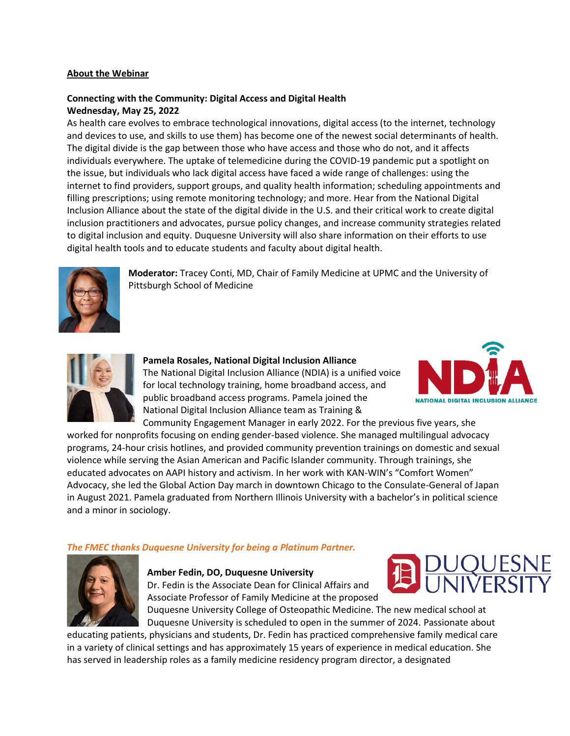## **About the Webinar**

# **Connecting with the Community: Digital Access and Digital Health Wednesday, May 25, 2022**

As health care evolves to embrace technological innovations, digital access (to the internet, technology and devices to use, and skills to use them) has become one of the newest social determinants of health. The digital divide is the gap between those who have access and those who do not, and it affects individuals everywhere. The uptake of telemedicine during the COVID-19 pandemic put a spotlight on the issue, but individuals who lack digital access have faced a wide range of challenges: using the internet to find providers, support groups, and quality health information; scheduling appointments and filling prescriptions; using remote monitoring technology; and more. Hear from the National Digital Inclusion Alliance about the state of the digital divide in the U.S. and their critical work to create digital inclusion practitioners and advocates, pursue policy changes, and increase community strategies related to digital inclusion and equity. Duquesne University will also share information on their efforts to use digital health tools and to educate students and faculty about digital health.



**Moderator:** Tracey Conti, MD, Chair of Family Medicine at UPMC and the University of Pittsburgh School of Medicine



**Pamela Rosales, National Digital Inclusion Alliance** The National Digital Inclusion Alliance (NDIA) is a unified voice for local technology training, home broadband access, and public broadband access programs. Pamela joined the National Digital Inclusion Alliance team as Training &



Community Engagement Manager in early 2022. For the previous five years, she worked for nonprofits focusing on ending gender-based violence. She managed multilingual advocacy programs, 24-hour crisis hotlines, and provided community prevention trainings on domestic and sexual violence while serving the Asian American and Pacific Islander community. Through trainings, she educated advocates on AAPI history and activism. In her work with KAN-WIN's "Comfort Women" Advocacy, she led the Global Action Day march in downtown Chicago to the Consulate-General of Japan in August 2021. Pamela graduated from Northern Illinois University with a bachelor's in political science and a minor in sociology.

## *The FMEC thanks Duquesne University for being a Platinum Partner.*



#### **Amber Fedin, DO, Duquesne University**

Dr. Fedin is the Associate Dean for Clinical Affairs and Associate Professor of Family Medicine at the proposed

Duquesne University College of Osteopathic Medicine. The new medical school at Duquesne University is scheduled to open in the summer of 2024. Passionate about

educating patients, physicians and students, Dr. Fedin has practiced comprehensive family medical care in a variety of clinical settings and has approximately 15 years of experience in medical education. She has served in leadership roles as a family medicine residency program director, a designated